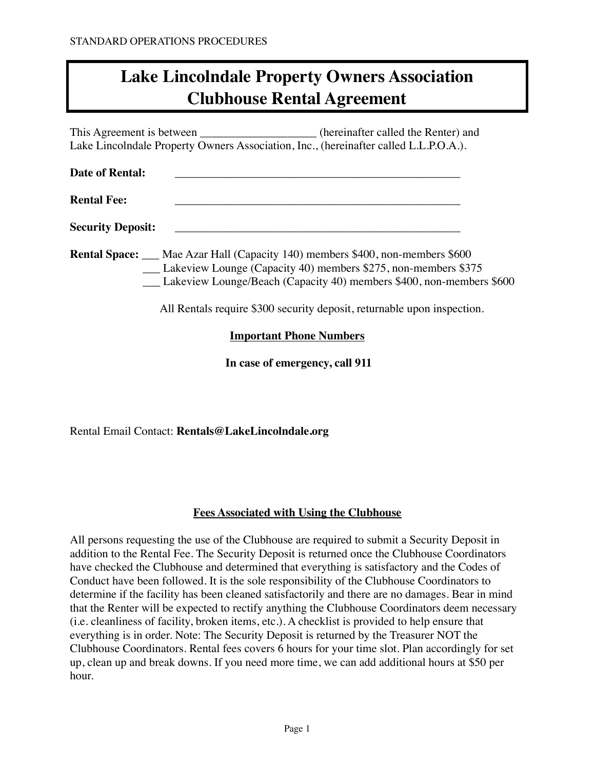This Agreement is between \_\_\_\_\_\_\_\_\_\_\_\_\_\_\_\_\_\_\_\_\_\_\_(hereinafter called the Renter) and Lake Lincolndale Property Owners Association, Inc., (hereinafter called L.L.P.O.A.).

| <b>Date of Rental:</b>   |  |
|--------------------------|--|
| <b>Rental Fee:</b>       |  |
| <b>Security Deposit:</b> |  |

**Rental Space:** \_\_\_ Mae Azar Hall (Capacity 140) members \$400, non-members \$600 Lakeview Lounge (Capacity 40) members \$275, non-members \$375 \_\_\_ Lakeview Lounge/Beach (Capacity 40) members \$400, non-members \$600

All Rentals require \$300 security deposit, returnable upon inspection.

### **Important Phone Numbers**

**In case of emergency, call 911** 

Rental Email Contact: **Rentals@LakeLincolndale.org**

#### **Fees Associated with Using the Clubhouse**

All persons requesting the use of the Clubhouse are required to submit a Security Deposit in addition to the Rental Fee. The Security Deposit is returned once the Clubhouse Coordinators have checked the Clubhouse and determined that everything is satisfactory and the Codes of Conduct have been followed. It is the sole responsibility of the Clubhouse Coordinators to determine if the facility has been cleaned satisfactorily and there are no damages. Bear in mind that the Renter will be expected to rectify anything the Clubhouse Coordinators deem necessary (i.e. cleanliness of facility, broken items, etc.). A checklist is provided to help ensure that everything is in order. Note: The Security Deposit is returned by the Treasurer NOT the Clubhouse Coordinators. Rental fees covers 6 hours for your time slot. Plan accordingly for set up, clean up and break downs. If you need more time, we can add additional hours at \$50 per hour.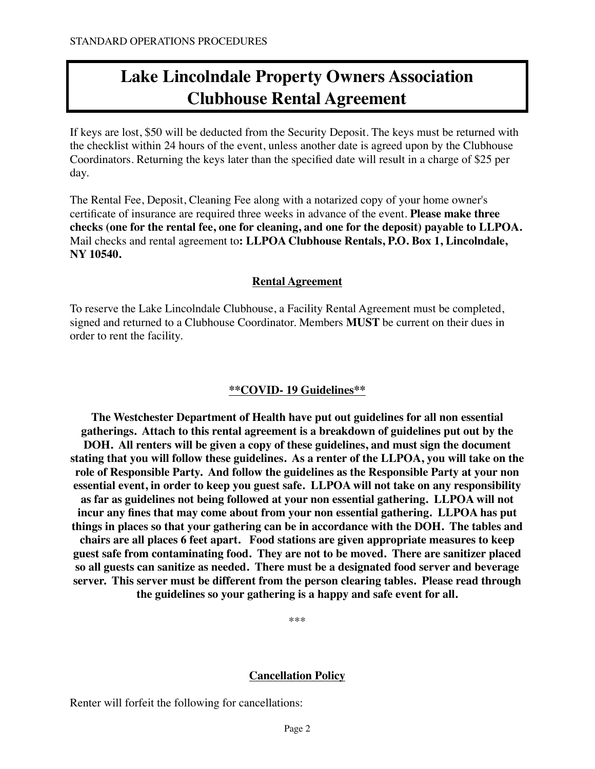If keys are lost, \$50 will be deducted from the Security Deposit. The keys must be returned with the checklist within 24 hours of the event, unless another date is agreed upon by the Clubhouse Coordinators. Returning the keys later than the specified date will result in a charge of \$25 per day.

The Rental Fee, Deposit, Cleaning Fee along with a notarized copy of your home owner's certificate of insurance are required three weeks in advance of the event. **Please make three checks (one for the rental fee, one for cleaning, and one for the deposit) payable to LLPOA.**  Mail checks and rental agreement to**: LLPOA Clubhouse Rentals, P.O. Box 1, Lincolndale, NY 10540.** 

#### **Rental Agreement**

To reserve the Lake Lincolndale Clubhouse, a Facility Rental Agreement must be completed, signed and returned to a Clubhouse Coordinator. Members **MUST** be current on their dues in order to rent the facility.

### **\*\*COVID- 19 Guidelines\*\***

**The Westchester Department of Health have put out guidelines for all non essential gatherings. Attach to this rental agreement is a breakdown of guidelines put out by the DOH. All renters will be given a copy of these guidelines, and must sign the document stating that you will follow these guidelines. As a renter of the LLPOA, you will take on the role of Responsible Party. And follow the guidelines as the Responsible Party at your non essential event, in order to keep you guest safe. LLPOA will not take on any responsibility as far as guidelines not being followed at your non essential gathering. LLPOA will not incur any fines that may come about from your non essential gathering. LLPOA has put things in places so that your gathering can be in accordance with the DOH. The tables and chairs are all places 6 feet apart. Food stations are given appropriate measures to keep guest safe from contaminating food. They are not to be moved. There are sanitizer placed so all guests can sanitize as needed. There must be a designated food server and beverage server. This server must be different from the person clearing tables. Please read through the guidelines so your gathering is a happy and safe event for all.** 

\*\*\*

#### **Cancellation Policy**

Renter will forfeit the following for cancellations: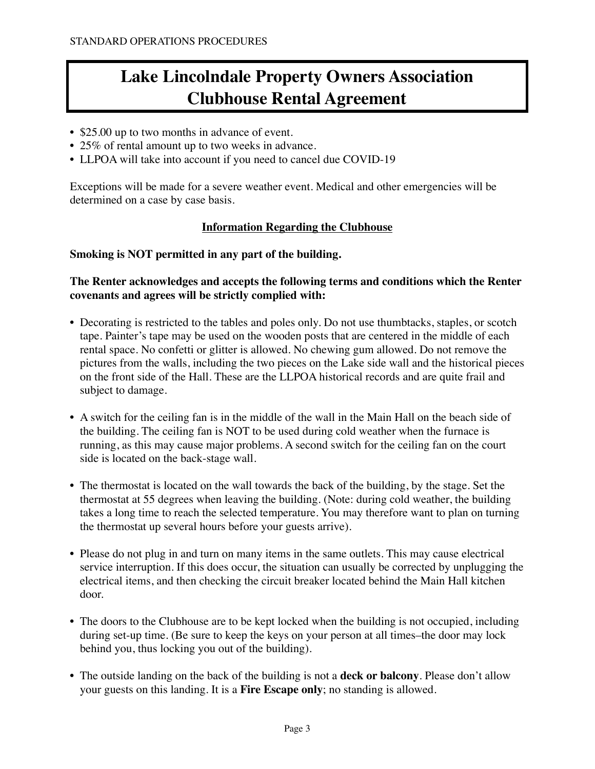- \$25.00 up to two months in advance of event.
- 25% of rental amount up to two weeks in advance.
- LLPOA will take into account if you need to cancel due COVID-19

Exceptions will be made for a severe weather event. Medical and other emergencies will be determined on a case by case basis.

### **Information Regarding the Clubhouse**

#### **Smoking is NOT permitted in any part of the building.**

### **The Renter acknowledges and accepts the following terms and conditions which the Renter covenants and agrees will be strictly complied with:**

- Decorating is restricted to the tables and poles only. Do not use thumbtacks, staples, or scotch tape. Painter's tape may be used on the wooden posts that are centered in the middle of each rental space. No confetti or glitter is allowed. No chewing gum allowed. Do not remove the pictures from the walls, including the two pieces on the Lake side wall and the historical pieces on the front side of the Hall. These are the LLPOA historical records and are quite frail and subject to damage.
- A switch for the ceiling fan is in the middle of the wall in the Main Hall on the beach side of the building. The ceiling fan is NOT to be used during cold weather when the furnace is running, as this may cause major problems. A second switch for the ceiling fan on the court side is located on the back-stage wall.
- The thermostat is located on the wall towards the back of the building, by the stage. Set the thermostat at 55 degrees when leaving the building. (Note: during cold weather, the building takes a long time to reach the selected temperature. You may therefore want to plan on turning the thermostat up several hours before your guests arrive).
- Please do not plug in and turn on many items in the same outlets. This may cause electrical service interruption. If this does occur, the situation can usually be corrected by unplugging the electrical items, and then checking the circuit breaker located behind the Main Hall kitchen door.
- The doors to the Clubhouse are to be kept locked when the building is not occupied, including during set-up time. (Be sure to keep the keys on your person at all times–the door may lock behind you, thus locking you out of the building).
- The outside landing on the back of the building is not a **deck or balcony**. Please don't allow your guests on this landing. It is a **Fire Escape only**; no standing is allowed.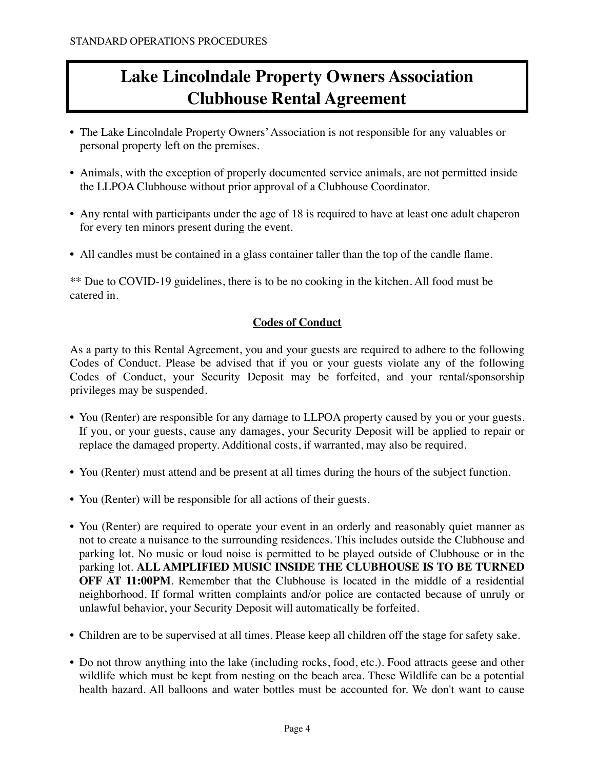- The Lake Lincolndale Property Owners' Association is not responsible for any valuables or personal property left on the premises.
- Animals, with the exception of properly documented service animals, are not permitted inside the LLPOA Clubhouse without prior approval of a Clubhouse Coordinator.
- Any rental with participants under the age of 18 is required to have at least one adult chaperon for every ten minors present during the event.
- All candles must be contained in a glass container taller than the top of the candle flame.

\*\* Due to COVID-19 guidelines, there is to be no cooking in the kitchen. All food must be catered in.

#### **Codes of Conduct**

As a party to this Rental Agreement, you and your guests are required to adhere to the following Codes of Conduct. Please be advised that if you or your guests violate any of the following Codes of Conduct, your Security Deposit may be forfeited, and your rental/sponsorship privileges may be suspended.

- You (Renter) are responsible for any damage to LLPOA property caused by you or your guests. If you, or your guests, cause any damages, your Security Deposit will be applied to repair or replace the damaged property. Additional costs, if warranted, may also be required.
- You (Renter) must attend and be present at all times during the hours of the subject function.
- You (Renter) will be responsible for all actions of their guests.
- You (Renter) are required to operate your event in an orderly and reasonably quiet manner as not to create a nuisance to the surrounding residences. This includes outside the Clubhouse and parking lot. No music or loud noise is permitted to be played outside of Clubhouse or in the parking lot. **ALL AMPLIFIED MUSIC INSIDE THE CLUBHOUSE IS TO BE TURNED OFF AT 11:00PM**. Remember that the Clubhouse is located in the middle of a residential neighborhood. If formal written complaints and/or police are contacted because of unruly or unlawful behavior, your Security Deposit will automatically be forfeited.
- Children are to be supervised at all times. Please keep all children off the stage for safety sake.
- Do not throw anything into the lake (including rocks, food, etc.). Food attracts geese and other wildlife which must be kept from nesting on the beach area. These Wildlife can be a potential health hazard. All balloons and water bottles must be accounted for. We don't want to cause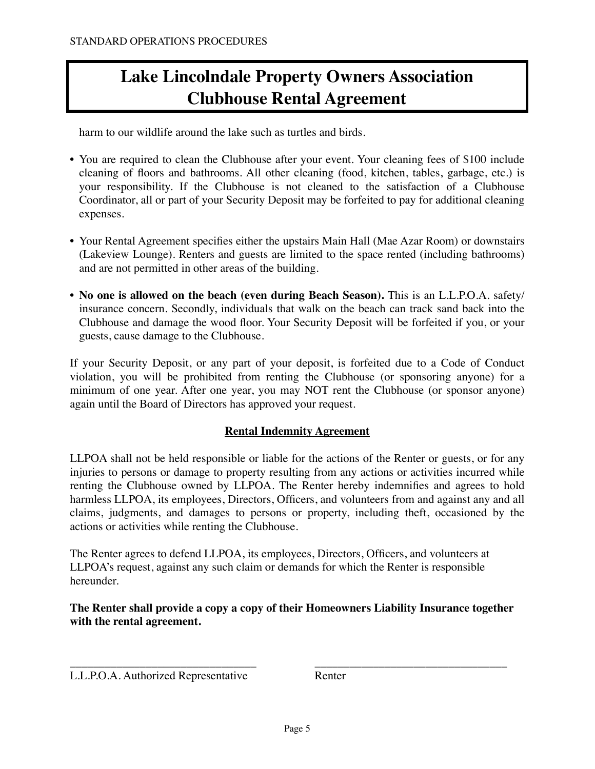harm to our wildlife around the lake such as turtles and birds.

- You are required to clean the Clubhouse after your event. Your cleaning fees of \$100 include cleaning of floors and bathrooms. All other cleaning (food, kitchen, tables, garbage, etc.) is your responsibility. If the Clubhouse is not cleaned to the satisfaction of a Clubhouse Coordinator, all or part of your Security Deposit may be forfeited to pay for additional cleaning expenses.
- Your Rental Agreement specifies either the upstairs Main Hall (Mae Azar Room) or downstairs (Lakeview Lounge). Renters and guests are limited to the space rented (including bathrooms) and are not permitted in other areas of the building.
- **No one is allowed on the beach (even during Beach Season).** This is an L.L.P.O.A. safety/ insurance concern. Secondly, individuals that walk on the beach can track sand back into the Clubhouse and damage the wood floor. Your Security Deposit will be forfeited if you, or your guests, cause damage to the Clubhouse.

If your Security Deposit, or any part of your deposit, is forfeited due to a Code of Conduct violation, you will be prohibited from renting the Clubhouse (or sponsoring anyone) for a minimum of one year. After one year, you may NOT rent the Clubhouse (or sponsor anyone) again until the Board of Directors has approved your request.

### **Rental Indemnity Agreement**

LLPOA shall not be held responsible or liable for the actions of the Renter or guests, or for any injuries to persons or damage to property resulting from any actions or activities incurred while renting the Clubhouse owned by LLPOA. The Renter hereby indemnifies and agrees to hold harmless LLPOA, its employees, Directors, Officers, and volunteers from and against any and all claims, judgments, and damages to persons or property, including theft, occasioned by the actions or activities while renting the Clubhouse.

The Renter agrees to defend LLPOA, its employees, Directors, Officers, and volunteers at LLPOA's request, against any such claim or demands for which the Renter is responsible hereunder.

**The Renter shall provide a copy a copy of their Homeowners Liability Insurance together with the rental agreement.**

\_\_\_\_\_\_\_\_\_\_\_\_\_\_\_\_\_\_\_\_\_\_\_\_\_\_\_\_\_\_\_\_ \_\_\_\_\_\_\_\_\_\_\_\_\_\_\_\_\_\_\_\_\_\_\_\_\_\_\_\_\_\_\_\_\_

L.L.P.O.A. Authorized Representative Renter